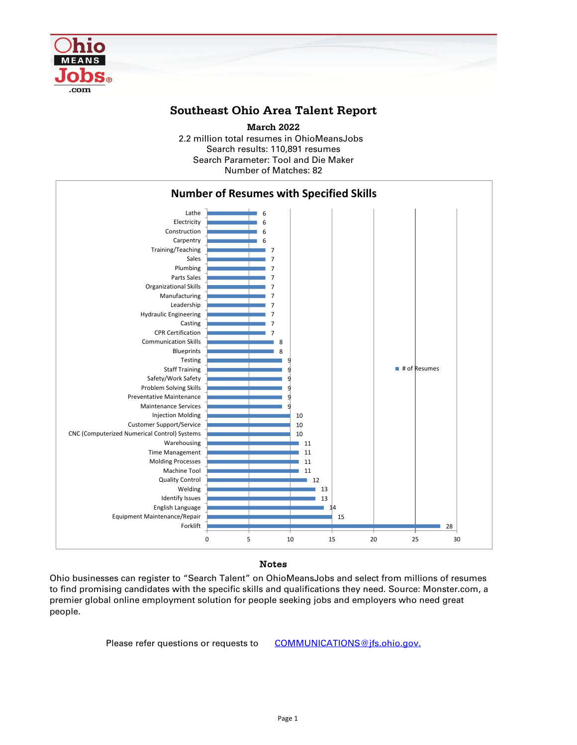

## **Southeast Ohio Area Talent Report**

2.2 million total resumes in OhioMeansJobs Search results: 110,891 resumes Number of Matches: 82 **March 2022** Search Parameter: Tool and Die Maker



### Notes

Ohio businesses can register to "Search Talent" on OhioMeansJobs and select from millions of resumes to find promising candidates with the specific skills and qualifications they need. Source: Monster.com, a premier global online employment solution for people seeking jobs and employers who need great people.

Please refer questions or requests to [COMMUNICATIONS@jfs.ohio.gov.](mailto:COMMUNICATIONS@jfs.ohio.gov.)